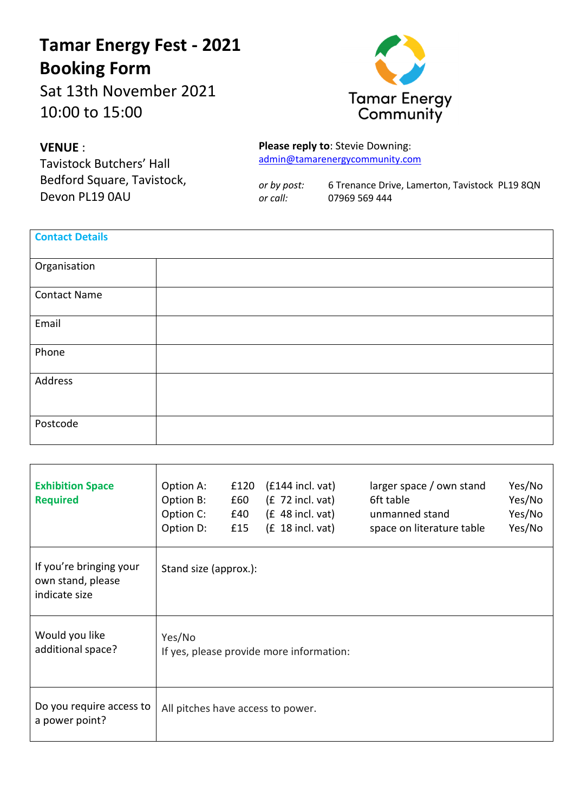## **Tamar Energy Fest - 2021 Booking Form**

Sat 13th November 2021 10:00 to 15:00



## **VENUE** :

 $\Gamma$ 

Tavistock Butchers' Hall Bedford Square, Tavistock, Devon PL19 0AU

**Please reply to**: Stevie Downing: admin@tamarenergycommunity.com

*or by post:* 6 Trenance Drive, Lamerton, Tavistock PL19 8QN *or call:* 07969 569 444

| <b>Contact Details</b> |  |
|------------------------|--|
| Organisation           |  |
| <b>Contact Name</b>    |  |
| Email                  |  |
| Phone                  |  |
| Address                |  |
| Postcode               |  |

| <b>Exhibition Space</b><br><b>Required</b>                    | Option A:<br>Option B:<br>Option C:<br>Option D: | £120<br>£60<br>£40<br>£15 | $(f144$ incl. vat)<br>$(E 72$ incl. vat)<br>$(E$ 48 incl. vat)<br>$(E 18$ incl. vat) | larger space / own stand<br>6ft table<br>unmanned stand<br>space on literature table | Yes/No<br>Yes/No<br>Yes/No<br>Yes/No |
|---------------------------------------------------------------|--------------------------------------------------|---------------------------|--------------------------------------------------------------------------------------|--------------------------------------------------------------------------------------|--------------------------------------|
| If you're bringing your<br>own stand, please<br>indicate size | Stand size (approx.):                            |                           |                                                                                      |                                                                                      |                                      |
| Would you like<br>additional space?                           | Yes/No                                           |                           | If yes, please provide more information:                                             |                                                                                      |                                      |
| Do you require access to<br>a power point?                    | All pitches have access to power.                |                           |                                                                                      |                                                                                      |                                      |